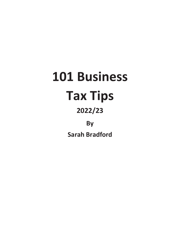# **101 Business Tax Tips 2022/23**

**By**

**Sarah Bradford**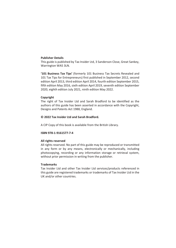### **Publisher Details**

This guide is published by Tax Insider Ltd, 3 Sanderson Close, Great Sankey, Warrington WA5 3LN.

**'101 Business Tax Tips'** (formerly 101 Business Tax Secrets Revealed and 101 Tax Tips for Entrepreneurs) first published in September 2012, second edition April 2013, third edition April 2014, fourth edition September 2015, fifth edition May 2016, sixth edition April 2019, seventh edition September 2020, eighth edition July 2021, ninth edition May 2022.

### **Copyright**

The right of Tax Insider Ltd and Sarah Bradford to be identified as the authors of this guide has been asserted in accordance with the Copyright, Designs and Patents Act 1988, England.

### **© 2022 Tax Insider Ltd and Sarah Bradford.**

A CIP Copy of this book is available from the British Library.

### **ISBN 978-1-9161577-7-4**

### **All rights reserved**

All rights reserved. No part of this guide may be reproduced or transmitted in any form or by any means, electronically or mechanically, including photocopying, recording or any information storage or retrieval system, without prior permission in writing from the publisher.

### **Trademarks**

Tax Insider Ltd and other Tax Insider Ltd services/products referenced in this guide are registered trademarks or trademarks of Tax Insider Ltd in the UK and/or other countries.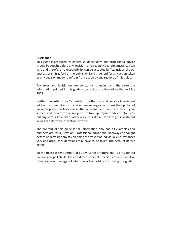### **Disclaimer**

.

This guide is produced for general guidance only, and professional advice should be sought before any decision is made. Individual circumstances can vary and therefore no responsibility can be accepted by Tax Insider, the coauthor Sarah Bradford or the publisher Tax Insider Ltd for any action taken or any decision made to refrain from action by any readers of this guide.

Tax rules and legislation are constantly changing and therefore the information printed in this guide is correct at the time of writing  $-$  May 2022

Neither the authors nor Tax Insider Ltd offer financial, legal or investment advice. If you require such advice then we urge you to seek the opinion of an appropriate professional in the relevant field. We care about your success and therefore encourage you to take appropriate advice before you put any of your financial or other resources at risk. Don't forget, investment values can decrease as well as increase.

The content of this guide is for information only and all examples and numbers are for illustration. Professional advice should always be sought before undertaking any tax planning of any sort as individual circumstances vary and other considerations may have to be taken into account before acting.

To the fullest extent permitted by law Sarah Bradford and Tax Insider Ltd do not accept liability for any direct, indirect, special, consequential or other losses or damages of whatsoever kind arising from using this guide.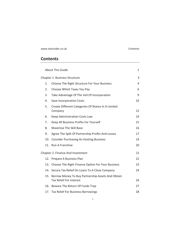www.taxinsider.co.uk Contents

# **Contents**

|                               |     | <b>About This Guide</b>                                                                 | 1  |
|-------------------------------|-----|-----------------------------------------------------------------------------------------|----|
| Chapter 1. Business Structure |     |                                                                                         |    |
|                               | 1.  | Choose The Right Structure For Your Business                                            | 4  |
|                               | 2.  | Choose Which Taxes You Pay                                                              | 6  |
|                               | 3.  | Take Advantage Of The Veil Of Incorporation                                             | 9  |
|                               | 4.  | Save Incorporation Costs                                                                | 10 |
|                               | 5.  | Create Different Categories Of Shares In A Limited<br>Company                           | 12 |
|                               | 6.  | Keep Administration Costs Low                                                           | 14 |
|                               | 7.  | Keep All Business Profits For Yourself                                                  | 15 |
|                               | 8.  | <b>Maximise The Skill Base</b>                                                          | 16 |
|                               | 9.  | Agree The Split Of Partnership Profits And Losses                                       | 17 |
|                               | 10. | <b>Consider Purchasing An Existing Business</b>                                         | 19 |
|                               |     | 11. Run A Franchise                                                                     | 20 |
|                               |     | Chapter 2. Finance And Investment                                                       | 21 |
|                               |     | 12. Prepare A Business Plan                                                             | 22 |
|                               | 13. | Choose The Right Finance Option For Your Business                                       | 23 |
|                               |     | 14. Secure Tax Relief On Loans To A Close Company                                       | 24 |
|                               |     | 15. Borrow Money To Buy Partnership Assets And Obtain<br><b>Tax Relief For Interest</b> | 26 |
|                               |     | 16. Beware The Return Of Funds Trap                                                     | 27 |
|                               |     | 17. Tax Relief For Business Borrowings                                                  | 28 |

i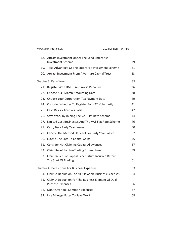| www.taxinsider.co.uk |  |
|----------------------|--|
|----------------------|--|

|     | 18. Attract Investment Under The Seed Enterprise                               |    |
|-----|--------------------------------------------------------------------------------|----|
|     | <b>Investment Scheme</b>                                                       | 29 |
|     | 19. Take Advantage Of The Enterprise Investment Scheme                         | 31 |
|     | 20. Attract Investment From A Venture Capital Trust                            | 33 |
|     | Chapter 3. Early Years                                                         | 35 |
|     | 21. Register With HMRC And Avoid Penalties                                     | 36 |
|     | 22. Choose A 31 March Accounting Date                                          | 38 |
|     | 23. Choose Your Corporation Tax Payment Date                                   | 40 |
|     | 24. Consider Whether To Register For VAT Voluntarily                           | 41 |
|     | 25. Cash Basis y Accruals Basis                                                | 42 |
|     | 26. Save Work By Joining The VAT Flat Rate Scheme                              | 44 |
|     | 27. Limited Cost Businesses And The VAT Flat Rate Scheme                       | 46 |
|     | 28. Carry Back Early Year Losses                                               | 50 |
|     | 29. Choose The Method Of Relief For Early Year Losses                          | 52 |
|     | 30. Extend The Loss To Capital Gains                                           | 55 |
|     | 31. Consider Not Claiming Capital Allowances                                   | 57 |
|     | 32. Claim Relief For Pre-Trading Expenditure                                   | 59 |
|     | 33. Claim Relief For Capital Expenditure Incurred Before                       |    |
|     | The Start Of Trading                                                           | 61 |
|     | <b>Chapter 4: Deductions For Business Expenses</b>                             | 63 |
|     | 34. Claim A Deduction For All Allowable Business Expenses                      | 64 |
| 35. | Claim A Deduction For The Business Element Of Dual-<br><b>Purpose Expenses</b> | 66 |
|     | 36. Don't Overlook Common Expenses                                             | 67 |
|     | 37. Use Mileage Rates To Save Work                                             | 68 |
|     |                                                                                |    |

ii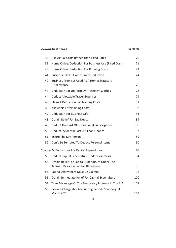### www.taxinsider.co.uk Contents

| 38. | Use Actual Costs Rather Than Fixed Rates                                                        | 70  |
|-----|-------------------------------------------------------------------------------------------------|-----|
| 39. | Home Office: Deduction For Business Use (Fixed Costs)                                           | 71  |
|     | 40. Home Office: Deduction For Running Costs                                                    | 73  |
| 41. | <b>Business Use Of Home: Fixed Deduction</b>                                                    | 74  |
| 42. | <b>Business Premises Used As A Home: Statutory</b><br>Disallowance                              | 76  |
| 43. | Deduction For Uniform Or Protective Clothes                                                     | 78  |
|     | 44. Deduct Allowable Travel Expenses                                                            | 79  |
| 45. | <b>Claim A Deduction For Training Costs</b>                                                     | 81  |
| 46. | <b>Allowable Entertaining Costs</b>                                                             | 82  |
|     | 47. Deduction For Business Gifts                                                                | 83  |
| 48. | <b>Obtain Relief For Bad Debts</b>                                                              | 84  |
|     | 49. Deduct The Cost Of Professional Subscriptions                                               | 86  |
| 50. | Deduct Incidental Costs Of Loan Finance                                                         | 87  |
|     | 51. Insure The Key Person                                                                       | 89  |
|     | 52. Don't Be Tempted To Deduct Personal Items                                                   | 90  |
|     | Chapter 5. Deductions For Capital Expenditure                                                   | 93  |
|     | 53. Deduct Capital Expenditure Under Cash Basis                                                 | 94  |
| 54. | Obtain Relief For Capital Expenditure Under The<br><b>Accruals Basis Via Capital Allowances</b> | 96  |
| 55. | Capital Allowances Must Be Claimed                                                              | 98  |
|     | 56. Obtain Immediate Relief For Capital Expenditure                                             | 100 |
| 57. | Take Advantage Of The Temporary Increase In The AIA                                             | 101 |
| 58. | Beware Chargeable Accounting Periods Spanning 31<br>March 2023                                  | 103 |

iii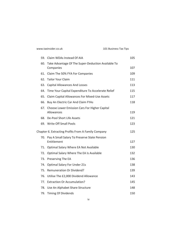|     | 59. Claim WDAs Instead Of AIA                                   | 105 |
|-----|-----------------------------------------------------------------|-----|
| 60. | Take Advantage Of The Super-Deduction Available To<br>Companies | 107 |
|     | 61. Claim The 50% FYA For Companies                             | 109 |
|     | 62. Tailor Your Claim                                           | 111 |
|     | 63. Capital Allowances And Losses                               | 113 |
|     | 64. Time Your Capital Expenditure To Accelerate Relief          | 115 |
| 65. | Claim Capital Allowances For Mixed-Use Assets                   | 117 |
| 66. | Buy An Electric Car And Claim FYAs                              | 118 |
| 67. | Choose Lower Emission Cars For Higher Capital                   |     |
|     | Allowances                                                      | 119 |
|     | 68. De-Pool Short Life Assets                                   | 121 |
|     | 69. Write Off Small Pools                                       | 123 |
|     | Chapter 6. Extracting Profits From A Family Company             | 125 |
|     | 70. Pay A Small Salary To Preserve State Pension<br>Entitlement | 127 |
|     | 71. Optimal Salary Where EA Not Available                       | 130 |
| 72. | Optimal Salary Where The EA Is Available                        | 132 |
|     | 73. Preserving The EA                                           | 136 |
| 74. | <b>Optimal Salary For Under 21s</b>                             | 138 |
|     | 75. Remuneration Or Dividend?                                   | 139 |
|     | 76. Utilise The £2,000 Dividend Allowance                       | 143 |
|     | 77. Extraction Or Accumulation?                                 | 145 |
|     | 78. Use An Alphabet Share Structure                             | 148 |
| 79. | <b>Timing Of Dividends</b>                                      | 150 |

iv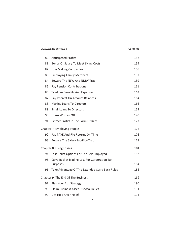| www.taxinsider.co.uk |  |  |
|----------------------|--|--|
|----------------------|--|--|

### Contents

|  | 80. Anticipated Profits                                       | 152 |
|--|---------------------------------------------------------------|-----|
|  | 81. Bonus Or Salary To Meet Living Costs                      | 154 |
|  | 82. Loss Making Companies                                     | 156 |
|  | 83. Employing Family Members                                  | 157 |
|  | 84. Beware The NLW And NMW Trap                               | 159 |
|  | 85. Pay Pension Contributions                                 | 161 |
|  | 86. Tax-Free Benefits And Expenses                            | 163 |
|  | 87. Pay Interest On Account Balances                          | 164 |
|  | 88. Making Loans To Directors                                 | 166 |
|  | 89. Small Loans To Directors                                  | 169 |
|  | 90. Loans Written Off                                         | 170 |
|  | 91. Extract Profits In The Form Of Rent                       | 173 |
|  | Chapter 7. Employing People                                   | 175 |
|  | 92. Pay PAYE And File Returns On Time                         | 176 |
|  | 93. Beware The Salary Sacrifice Trap                          | 178 |
|  | Chapter 8. Using Losses                                       | 181 |
|  | 94. Loss Relief Options For The Self-Employed                 | 182 |
|  | 95. Carry Back A Trading Loss For Corporation Tax<br>Purposes | 184 |
|  | 96. Take Advantage Of The Extended Carry Back Rules           | 186 |
|  | Chapter 9. The End Of The Business                            | 189 |
|  | 97. Plan Your Exit Strategy                                   | 190 |
|  | 98. Claim Business Asset Disposal Relief                      | 191 |
|  | 99. Gift Hold-Over Relief                                     | 194 |

v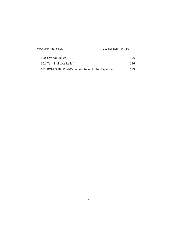| www.taxinsider.co.uk                                 | 101 Business Tax Tips |  |
|------------------------------------------------------|-----------------------|--|
| 100. Overlap Relief                                  | 195                   |  |
| 101. Terminal Loss Relief                            | 196                   |  |
| 102. BONUS TIP: Post-Cessation Receipts And Expenses | 199                   |  |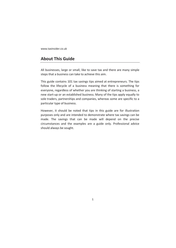www.taxinsider.co.uk

# **About This Guide**

All businesses, large or small, like to save tax and there are many simple steps that a business can take to achieve this aim.

This guide contains 101 tax savings tips aimed at entrepreneurs. The tips follow the lifecycle of a business meaning that there is something for everyone, regardless of whether you are thinking of starting a business, a new start-up or an established business. Many of the tips apply equally to sole traders, partnerships and companies, whereas some are specific to a particular type of business.

However, it should be noted that tips in this guide are for illustration purposes only and are intended to demonstrate where tax savings can be made. The savings that can be made will depend on the precise circumstances and the examples are a guide only. Professional advice should always be sought.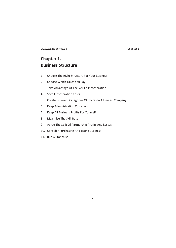www.taxinsider.co.uk Chapter 1

# **Chapter 1. Business Structure**

- 1. Choose The Right Structure For Your Business
- 2. Choose Which Taxes You Pay
- 3. Take Advantage Of The Veil Of Incorporation
- 4. Save Incorporation Costs
- 5. Create Different Categories Of Shares In A Limited Company
- 6. Keep Administration Costs Low
- 7. Keep All Business Profits For Yourself
- 8. Maximise The Skill Base
- 9. Agree The Split Of Partnership Profits And Losses
- 10. Consider Purchasing An Existing Business
- 11. Run A Franchise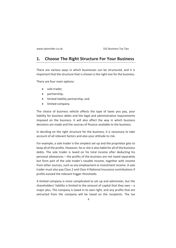# **1. Choose The Right Structure For Your Business**

There are various ways in which businesses can be structured, and it is important that the structure that is chosen is the right one for the business.

There are four main options:

- sole trader;
- partnership;
- limited liability partnership: and
- limited company.

The choice of business vehicle affects the type of taxes you pay, your liability for business debts and the legal and administrative requirements imposed on the business. It will also affect the way in which business decisions are made and the sources of finance available to the business.

In deciding on the right structure for the business, it is necessary to take account of all relevant factors and also your attitude to risk.

For example, a sole trader is the simplest set-up and the proprietor gets to keep all of the profits. However, he or she is also liable for all of the business debts. The sole trader is taxed on his total income after deducting his personal allowances – the profits of the business are not taxed separately but form part of the sole trader's taxable income, together with income from other sources, such as any employment or investment income. A sole trader must also pay Class 2 and Class 4 National Insurance contributions if profits exceed the relevant trigger thresholds.

A limited company is more complicated to set up and administer, but the shareholders' liability is limited to the amount of capital that they own – a major plus. The company is taxed in its own right, and any profits that are extracted from the company will be taxed on the recipients. The tax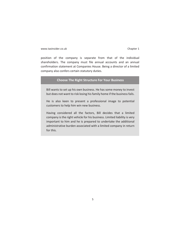www.taxinsider.co.uk Chapter 1

position of the company is separate from that of the individual shareholders. The company must file annual accounts and an annual confirmation statement at Companies House. Being a director of a limited company also confers certain statutory duties.

### **Choose The Right Structure For Your Business**

Bill wants to set up his own business. He has some money to invest but does not want to risk losing his family home if the business fails.

He is also keen to present a professional image to potential customers to help him win new business.

Having considered all the factors, Bill decides that a limited company is the right vehicle for his business. Limited liability is very important to him and he is prepared to undertake the additional administrative burden associated with a limited company in return for this.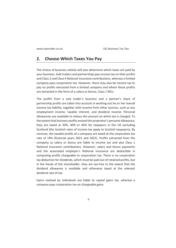## **2. Choose Which Taxes You Pay**

The choice of business vehicle will also determine which taxes are paid by your business. Sole traders and partnerships pay income tax on their profits and Class 2 and Class 4 National Insurance contributions, whereas a limited company pays corporation tax. However, there may also be income tax to pay on profits extracted from a limited company and where those profits are extracted in the form of a salary or bonus, Class 1 NICs.

The profits from a sole trader's business and a partner's share of partnership profits are taken into account in working out his or her overall income tax liability, together with income from other sources, such as any employment income, taxable interest, and dividend income. Personal allowances are available to reduce the amount on which tax is charged. To the extent that business profits exceed the proprietor's personal allowance, they are taxed at 20%, 40% or 45% for taxpayers in the UK excluding Scotland (the Scottish rates of income tax apply to Scottish taxpayers). By contrast, the taxable profits of a company are taxed at the corporation tax rate of 19% (financial years 2021 and 2022). Profits extracted from the company as salary or bonus are liable to income tax and also Class 1 National Insurance contributions. However, salary and bonus payments and the associated employer's National Insurance are deductible in computing profits chargeable to corporation tax. There is no corporation tax deduction for dividends, which must be paid out of retained profits, but in the hands of the shareholder, they are tax-free to the extent that the dividend allowance is available and otherwise taxed at the relevant dividend rate of tax.

Gains realised by individuals are liable to capital gains tax, whereas a company pays corporation tax on chargeable gains.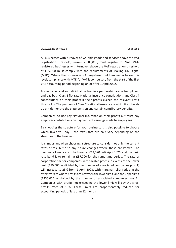www.taxinsider.co.uk **Chapter 1** 

All businesses with turnover of VATable goods and services above the VAT registration threshold, currently £85,000, must register for VAT. VATregistered businesses with turnover above the VAT registration threshold of £85,000 must comply with the requirements of Making Tax Digital (MTD). Where the business is VAT registered but turnover is below this level, compliance with MTD for VAT is compulsory from the start of the first VAT accounting period beginning on or after 1 April 2022.

A sole trader and an individual partner in a partnership are self-employed and pay both Class 2 flat rate National Insurance contributions and Class 4 contributions on their profits if their profits exceed the relevant profit thresholds. The payment of Class 2 National Insurance contributions builds up entitlement to the state pension and certain contributory benefits.

Companies do not pay National Insurance on their profits but must pay employer contributions on payments of earnings made to employees.

By choosing the structure for your business, it is also possible to choose which taxes you pay – the taxes that are paid vary depending on the structure of the business.

It is important when choosing a structure to consider not only the current rates of tax, but also any future changes where these are known. The personal allowance is to be frozen at £12,570 until April 2026, and the basic rate band is to remain at £37,700 for the same time period. The rate of corporation tax for companies with taxable profits in excess of the lower limit (£50,000 as divided by the number of associated companies plus 1) will increase to 25% from 1 April 2023, with marginal relief reducing the effective rate where profits are between the lower limit and the upper limit (£250,000 as divided by the number of associated companies plus 1). Companies with profits not exceeding the lower limit will pay the small profits rates of 19%. These limits are proportionately reduced for accounting periods of less than 12 months.